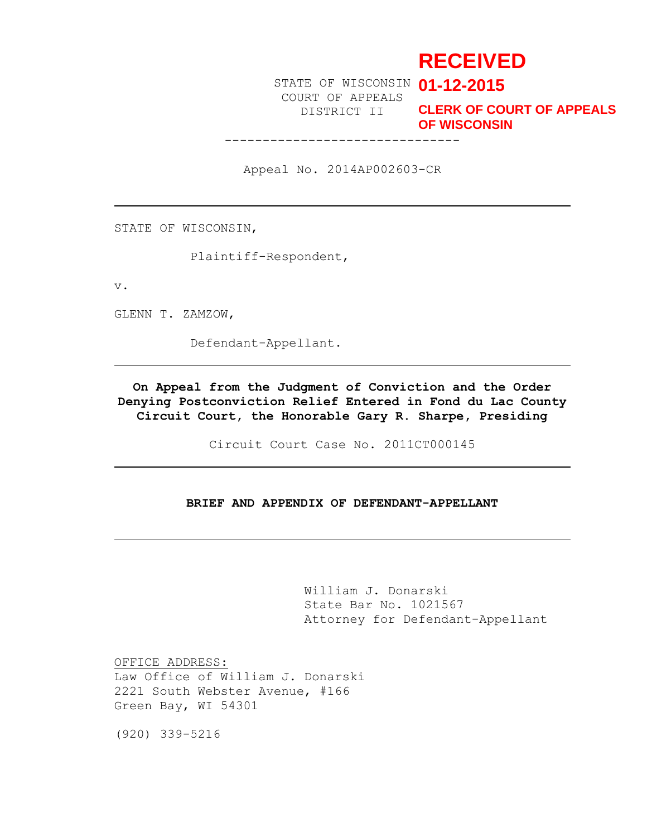# **RECEIVED**

STATE OF WISCONSIN **01-12-2015** COURT OF APPEALS

-------------------------------

DISTRICT II **CLERK OF COURT OF APPEALS OF WISCONSIN**

Appeal No. 2014AP002603-CR

STATE OF WISCONSIN,

Plaintiff-Respondent,

v.

GLENN T. ZAMZOW,

Defendant-Appellant.

**On Appeal from the Judgment of Conviction and the Order Denying Postconviction Relief Entered in Fond du Lac County Circuit Court, the Honorable Gary R. Sharpe, Presiding**

Circuit Court Case No. 2011CT000145

#### **BRIEF AND APPENDIX OF DEFENDANT-APPELLANT**

William J. Donarski State Bar No. 1021567 Attorney for Defendant-Appellant

OFFICE ADDRESS: Law Office of William J. Donarski 2221 South Webster Avenue, #166 Green Bay, WI 54301

(920) 339-5216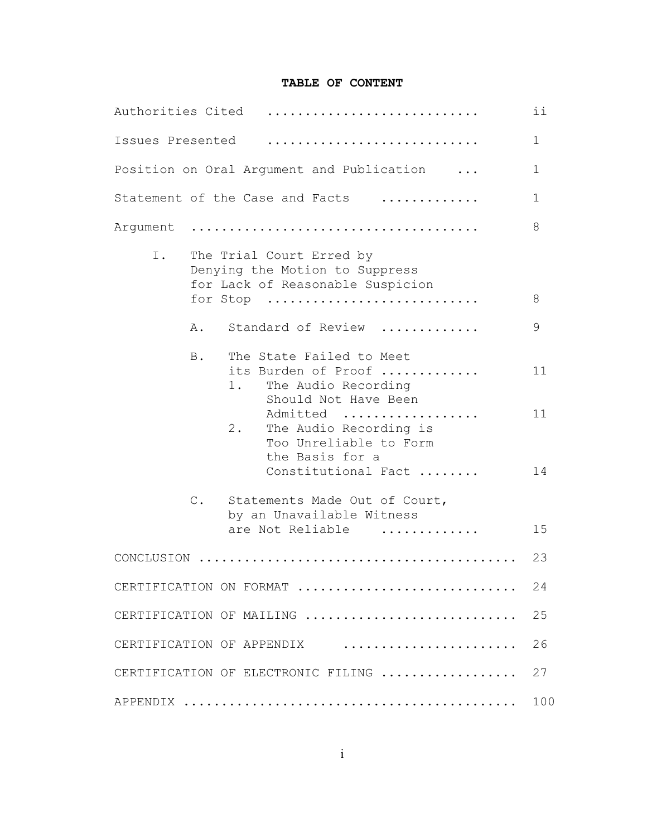## **TABLE OF CONTENT**

| Authorities Cited         |               |                                                                                                                  | ii           |
|---------------------------|---------------|------------------------------------------------------------------------------------------------------------------|--------------|
| Issues Presented          |               |                                                                                                                  | $\mathbb{1}$ |
|                           |               | Position on Oral Argument and Publication                                                                        | 1            |
|                           |               | Statement of the Case and Facts                                                                                  | $\mathbf 1$  |
| Argument                  |               |                                                                                                                  | 8            |
| Ι.                        |               | The Trial Court Erred by<br>Denying the Motion to Suppress<br>for Lack of Reasonable Suspicion<br>for Stop       | 8            |
|                           | Α.            | Standard of Review                                                                                               | 9            |
|                           | <b>B</b> .    | The State Failed to Meet<br>its Burden of Proof<br>The Audio Recording<br>1.<br>Should Not Have Been<br>Admitted | 11<br>11     |
|                           |               | $2$ .<br>The Audio Recording is<br>Too Unreliable to Form<br>the Basis for a<br>Constitutional Fact              | 14           |
|                           | $\mathbb C$ . | Statements Made Out of Court,<br>by an Unavailable Witness<br>are Not Reliable<br>.                              | 15           |
|                           |               |                                                                                                                  | 23           |
|                           |               | CERTIFICATION ON FORMAT                                                                                          | 24           |
|                           |               | CERTIFICATION OF MAILING                                                                                         | 25           |
| CERTIFICATION OF APPENDIX |               | 26                                                                                                               |              |
|                           |               | CERTIFICATION OF ELECTRONIC FILING                                                                               | 27           |
|                           |               |                                                                                                                  | 100          |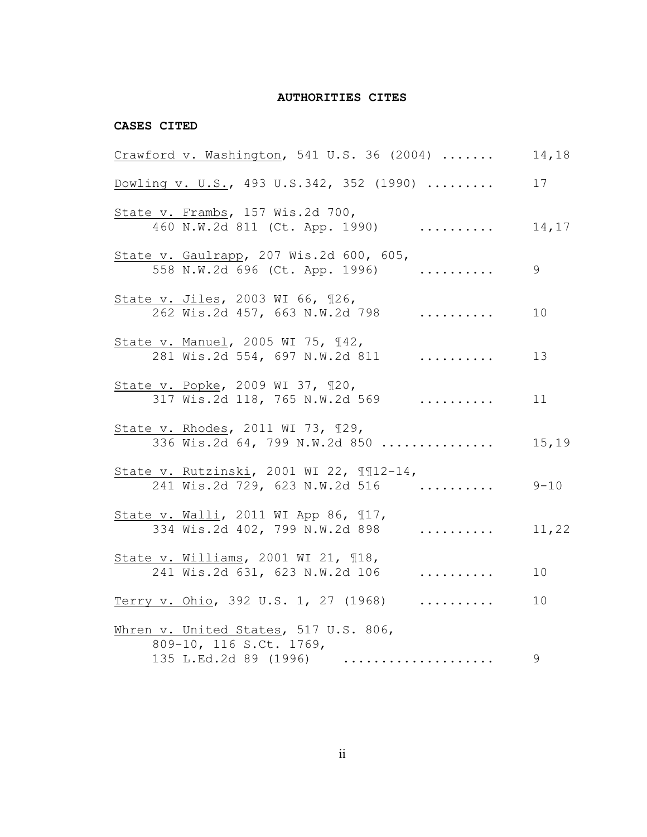## **AUTHORITIES CITES**

#### **CASES CITED**

| $Crawford$ v. Washington, 541 U.S. 36 (2004)                                                                                                                                                                   | 14,18    |
|----------------------------------------------------------------------------------------------------------------------------------------------------------------------------------------------------------------|----------|
| Dowling v. U.S., 493 U.S.342, 352 (1990)                                                                                                                                                                       | 17       |
| State v. Frambs, 157 Wis.2d 700,<br>460 N.W.2d 811 (Ct. App. 1990)<br>.                                                                                                                                        | 14,17    |
| State v. Gaulrapp, 207 Wis.2d 600, 605,<br>.<br>558 N.W.2d 696 (Ct. App. 1996)                                                                                                                                 | 9        |
| State v. Jiles, 2003 WI 66, 126,<br>262 Wis.2d 457, 663 N.W.2d 798<br>.                                                                                                                                        | 10       |
| State v. Manuel, 2005 WI 75, 142,<br>281 Wis.2d 554, 697 N.W.2d 811<br>.                                                                                                                                       | 13       |
| State v. Popke, 2009 WI 37, 120,<br>317 Wis.2d 118, 765 N.W.2d 569<br>$\cdots$                                                                                                                                 | 11       |
| State v. Rhodes, 2011 WI 73, 129,<br>336 Wis.2d 64, 799 N.W.2d 850                                                                                                                                             | 15,19    |
| State v. Rutzinski, 2001 WI 22, 112-14,<br>241 Wis.2d 729, 623 N.W.2d 516                                                                                                                                      | $9 - 10$ |
| State v. Walli, 2011 WI App 86, 117,<br>334 Wis.2d 402, 799 N.W.2d 898<br>$\mathbf{r} = \mathbf{r} \cdot \mathbf{r} + \mathbf{r} \cdot \mathbf{r} + \mathbf{r} \cdot \mathbf{r} + \mathbf{r} \cdot \mathbf{r}$ | 11,22    |
| State v. Williams, 2001 WI 21, 118,<br>241 Wis.2d 631, 623 N.W.2d 106<br>.                                                                                                                                     | 10       |
| Terry v. Ohio, 392 U.S. 1, 27 (1968)<br>.                                                                                                                                                                      | 10       |
| Whren v. United States, 517 U.S. 806,<br>809-10, 116 S.Ct. 1769,<br>135 L.Ed.2d 89 (1996)                                                                                                                      | 9        |
|                                                                                                                                                                                                                |          |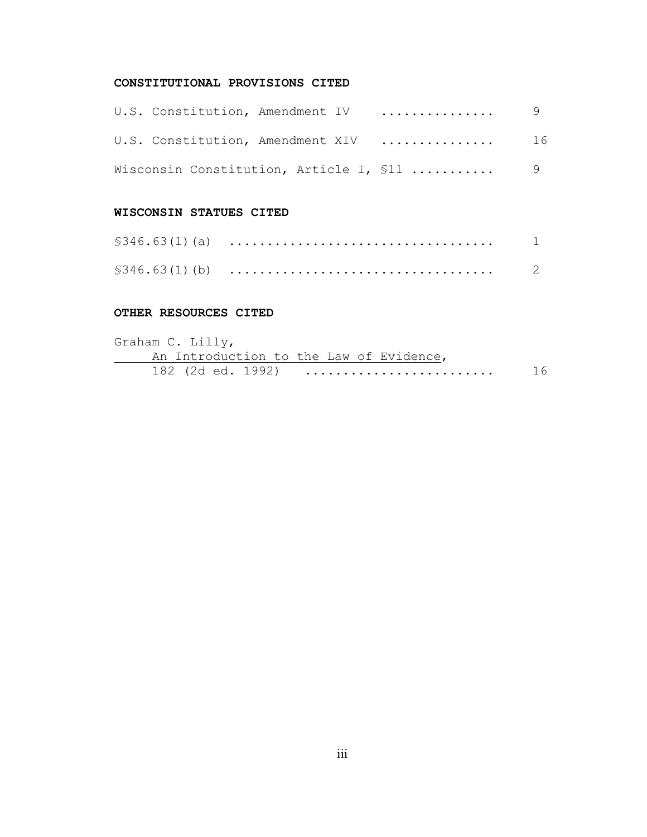# **CONSTITUTIONAL PROVISIONS CITED**

|  | U.S. Constitution, Amendment IV  9      |     |
|--|-----------------------------------------|-----|
|  | U.S. Constitution, Amendment XIV        | -16 |
|  | Wisconsin Constitution, Article I, \$11 | 9   |

## **WISCONSIN STATUES CITED**

## **OTHER RESOURCES CITED**

| Graham C. Lilly,                        |    |
|-----------------------------------------|----|
| An Introduction to the Law of Evidence, |    |
| 182 (2d ed. 1992)                       | 16 |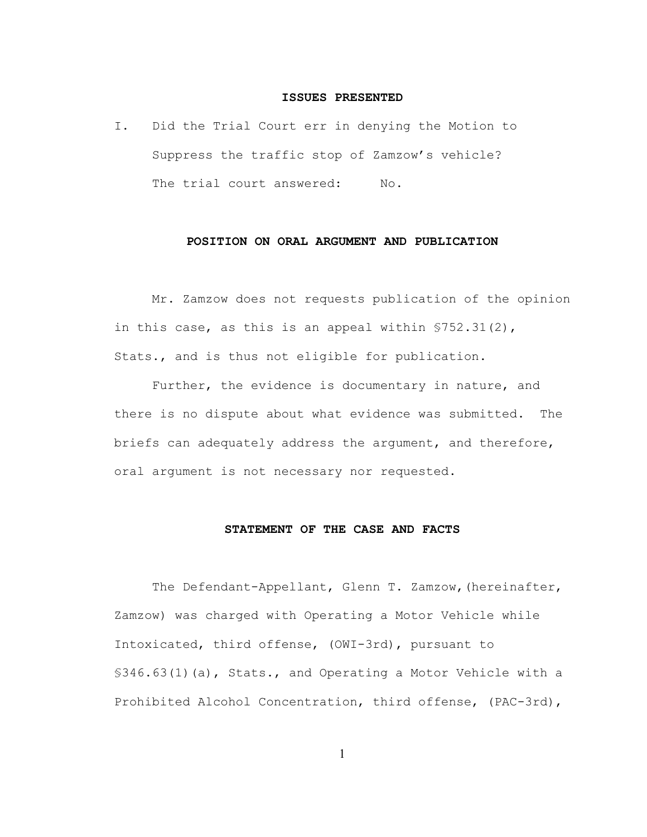#### **ISSUES PRESENTED**

I. Did the Trial Court err in denying the Motion to Suppress the traffic stop of Zamzow's vehicle? The trial court answered: No.

## **POSITION ON ORAL ARGUMENT AND PUBLICATION**

Mr. Zamzow does not requests publication of the opinion in this case, as this is an appeal within §752.31(2), Stats., and is thus not eligible for publication.

Further, the evidence is documentary in nature, and there is no dispute about what evidence was submitted. The briefs can adequately address the argument, and therefore, oral argument is not necessary nor requested.

#### **STATEMENT OF THE CASE AND FACTS**

The Defendant-Appellant, Glenn T. Zamzow,(hereinafter, Zamzow) was charged with Operating a Motor Vehicle while Intoxicated, third offense, (OWI-3rd), pursuant to §346.63(1)(a), Stats., and Operating a Motor Vehicle with a Prohibited Alcohol Concentration, third offense, (PAC-3rd),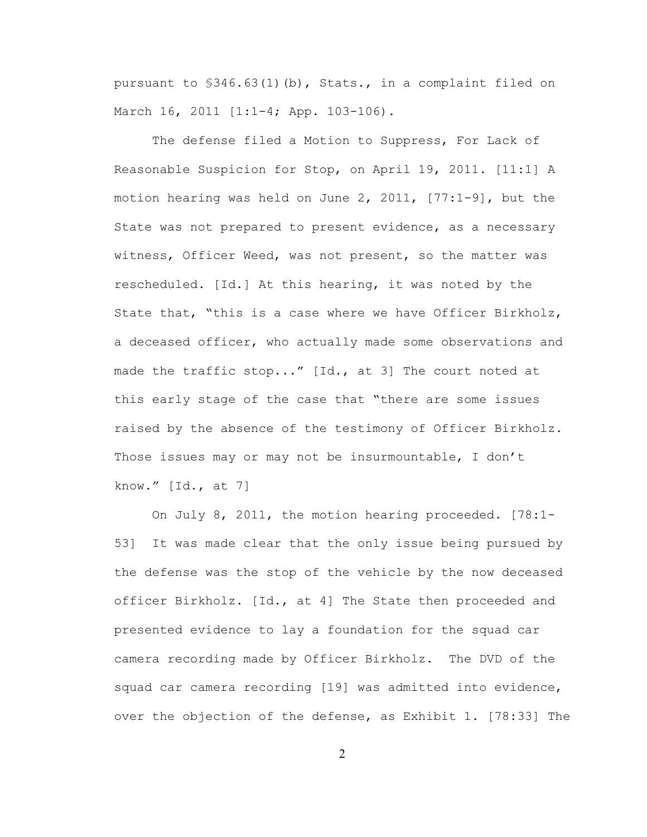pursuant to §346.63(1)(b), Stats., in a complaint filed on March 16, 2011 [1:1-4; App. 103-106).

The defense filed a Motion to Suppress, For Lack of Reasonable Suspicion for Stop, on April 19, 2011. [11:1] A motion hearing was held on June 2, 2011,  $[77:1-9]$ , but the State was not prepared to present evidence, as a necessary witness, Officer Weed, was not present, so the matter was rescheduled. [Id.] At this hearing, it was noted by the State that, "this is a case where we have Officer Birkholz, a deceased officer, who actually made some observations and made the traffic stop..." [Id., at 3] The court noted at this early stage of the case that "there are some issues raised by the absence of the testimony of Officer Birkholz. Those issues may or may not be insurmountable, I don't know." [Id., at 7]

On July 8, 2011, the motion hearing proceeded. [78:1- 53] It was made clear that the only issue being pursued by the defense was the stop of the vehicle by the now deceased officer Birkholz. [Id., at 4] The State then proceeded and presented evidence to lay a foundation for the squad car camera recording made by Officer Birkholz. The DVD of the squad car camera recording [19] was admitted into evidence, over the objection of the defense, as Exhibit 1. [78:33] The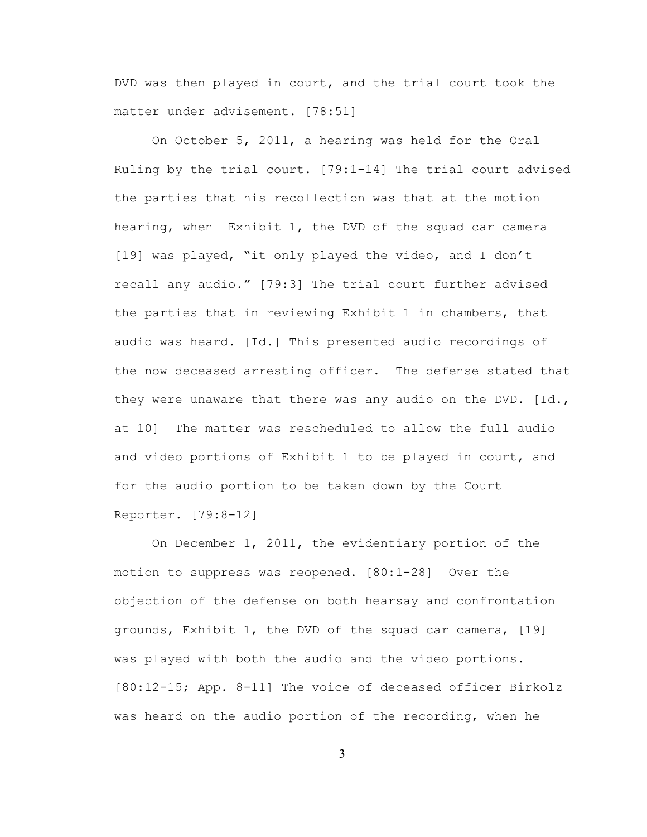DVD was then played in court, and the trial court took the matter under advisement. [78:51]

On October 5, 2011, a hearing was held for the Oral Ruling by the trial court. [79:1-14] The trial court advised the parties that his recollection was that at the motion hearing, when Exhibit 1, the DVD of the squad car camera [19] was played, "it only played the video, and I don't recall any audio." [79:3] The trial court further advised the parties that in reviewing Exhibit 1 in chambers, that audio was heard. [Id.] This presented audio recordings of the now deceased arresting officer. The defense stated that they were unaware that there was any audio on the DVD.  $[d.d.,]$ at 10] The matter was rescheduled to allow the full audio and video portions of Exhibit 1 to be played in court, and for the audio portion to be taken down by the Court Reporter. [79:8-12]

On December 1, 2011, the evidentiary portion of the motion to suppress was reopened. [80:1-28] Over the objection of the defense on both hearsay and confrontation grounds, Exhibit 1, the DVD of the squad car camera, [19] was played with both the audio and the video portions. [80:12-15; App. 8-11] The voice of deceased officer Birkolz was heard on the audio portion of the recording, when he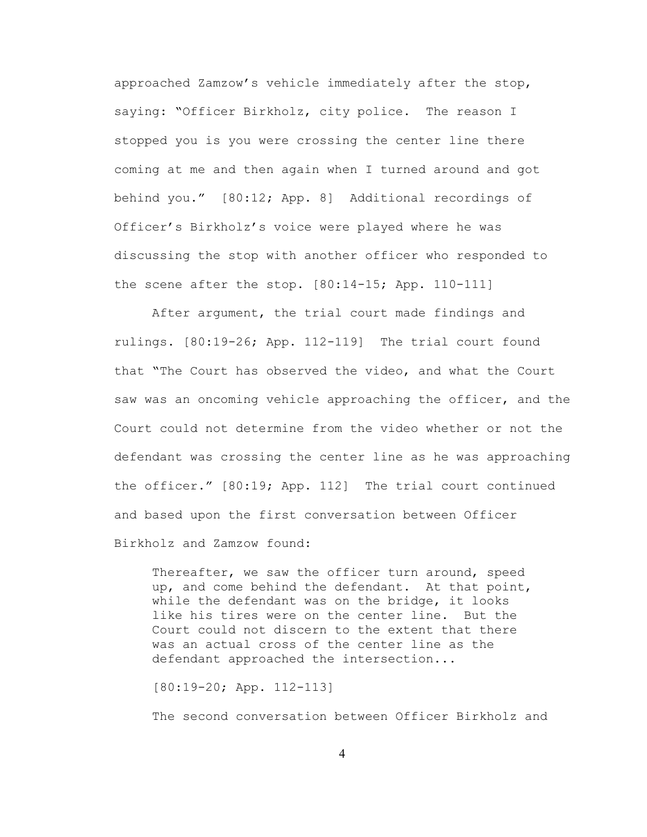approached Zamzow's vehicle immediately after the stop, saying: "Officer Birkholz, city police. The reason I stopped you is you were crossing the center line there coming at me and then again when I turned around and got behind you." [80:12; App. 8] Additional recordings of Officer's Birkholz's voice were played where he was discussing the stop with another officer who responded to the scene after the stop. [80:14-15; App. 110-111]

After argument, the trial court made findings and rulings. [80:19-26; App. 112-119] The trial court found that "The Court has observed the video, and what the Court saw was an oncoming vehicle approaching the officer, and the Court could not determine from the video whether or not the defendant was crossing the center line as he was approaching the officer." [80:19; App. 112] The trial court continued and based upon the first conversation between Officer Birkholz and Zamzow found:

Thereafter, we saw the officer turn around, speed up, and come behind the defendant. At that point, while the defendant was on the bridge, it looks like his tires were on the center line. But the Court could not discern to the extent that there was an actual cross of the center line as the defendant approached the intersection...

[80:19-20; App. 112-113]

The second conversation between Officer Birkholz and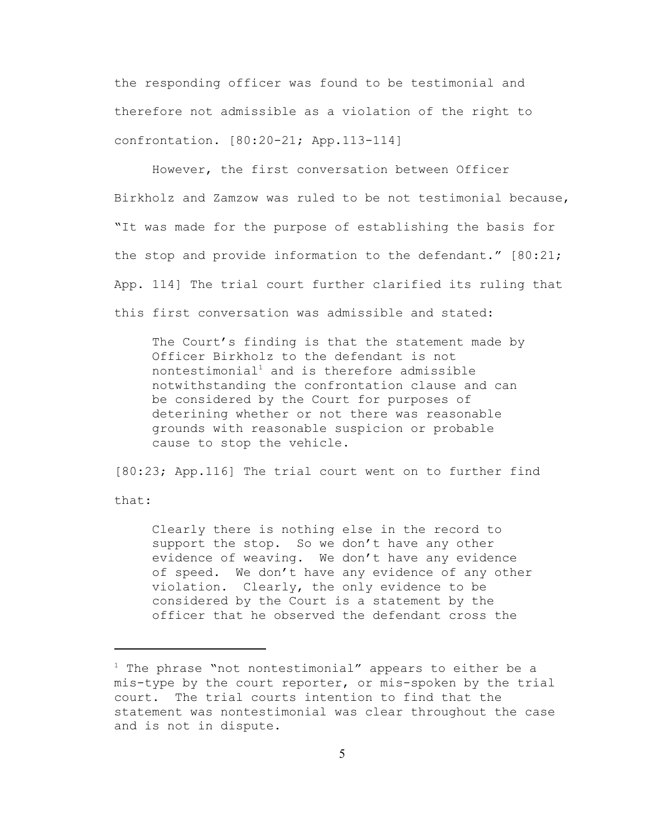the responding officer was found to be testimonial and therefore not admissible as a violation of the right to confrontation. [80:20-21; App.113-114]

However, the first conversation between Officer Birkholz and Zamzow was ruled to be not testimonial because, "It was made for the purpose of establishing the basis for the stop and provide information to the defendant." [80:21; App. 114] The trial court further clarified its ruling that this first conversation was admissible and stated:

The Court's finding is that the statement made by Officer Birkholz to the defendant is not nontestimonial<sup>1</sup> and is therefore admissible notwithstanding the confrontation clause and can be considered by the Court for purposes of deterining whether or not there was reasonable grounds with reasonable suspicion or probable cause to stop the vehicle.

[80:23; App.116] The trial court went on to further find that:

Clearly there is nothing else in the record to support the stop. So we don't have any other evidence of weaving. We don't have any evidence of speed. We don't have any evidence of any other violation. Clearly, the only evidence to be considered by the Court is a statement by the officer that he observed the defendant cross the

 $1$  The phrase "not nontestimonial" appears to either be a mis-type by the court reporter, or mis-spoken by the trial court. The trial courts intention to find that the statement was nontestimonial was clear throughout the case and is not in dispute.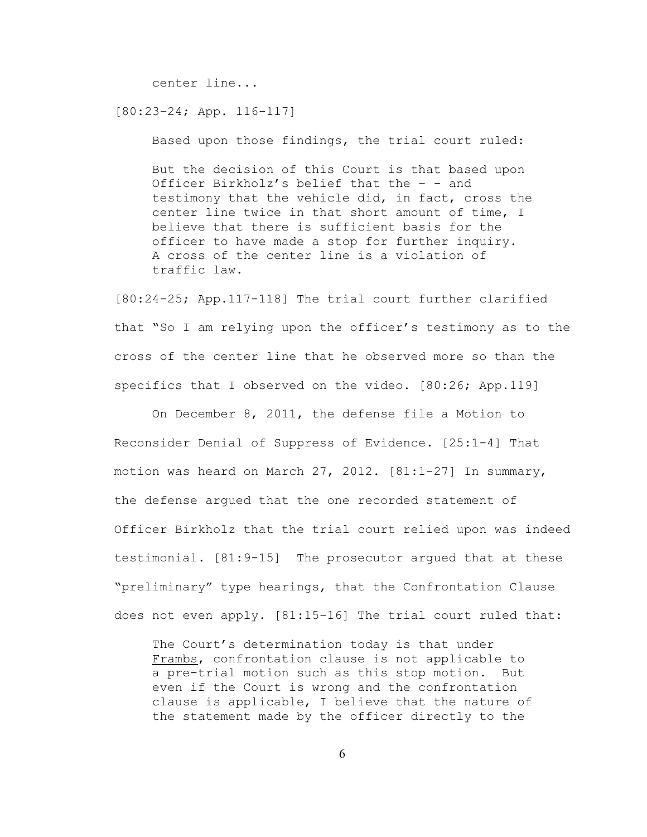center line...

[80:23–24; App. 116-117]

Based upon those findings, the trial court ruled:

But the decision of this Court is that based upon Officer Birkholz's belief that the – - and testimony that the vehicle did, in fact, cross the center line twice in that short amount of time, I believe that there is sufficient basis for the officer to have made a stop for further inquiry. A cross of the center line is a violation of traffic law.

[80:24-25; App.117-118] The trial court further clarified that "So I am relying upon the officer's testimony as to the cross of the center line that he observed more so than the specifics that I observed on the video. [80:26; App.119]

On December 8, 2011, the defense file a Motion to Reconsider Denial of Suppress of Evidence. [25:1-4] That motion was heard on March 27, 2012.  $[81:1-27]$  In summary, the defense argued that the one recorded statement of Officer Birkholz that the trial court relied upon was indeed testimonial. [81:9-15] The prosecutor argued that at these "preliminary" type hearings, that the Confrontation Clause does not even apply. [81:15-16] The trial court ruled that:

The Court's determination today is that under Frambs, confrontation clause is not applicable to a pre-trial motion such as this stop motion. But even if the Court is wrong and the confrontation clause is applicable, I believe that the nature of the statement made by the officer directly to the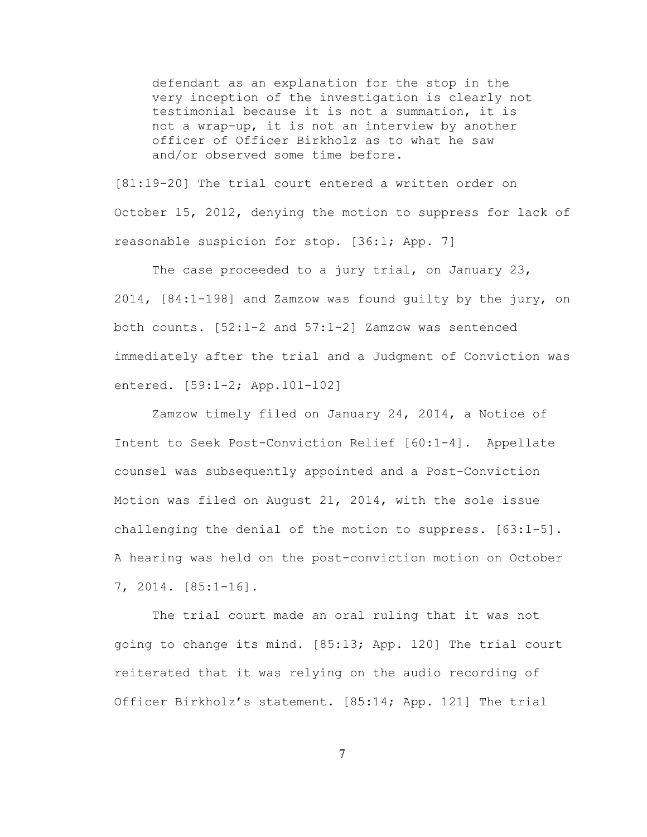defendant as an explanation for the stop in the very inception of the investigation is clearly not testimonial because it is not a summation, it is not a wrap-up, it is not an interview by another officer of Officer Birkholz as to what he saw and/or observed some time before.

[81:19-20] The trial court entered a written order on October 15, 2012, denying the motion to suppress for lack of reasonable suspicion for stop. [36:1; App. 7]

The case proceeded to a jury trial, on January 23, 2014, [84:1-198] and Zamzow was found guilty by the jury, on both counts. [52:1-2 and 57:1-2] Zamzow was sentenced immediately after the trial and a Judgment of Conviction was entered. [59:1-2; App.101-102]

Zamzow timely filed on January 24, 2014, a Notice of Intent to Seek Post-Conviction Relief [60:1-4]. Appellate counsel was subsequently appointed and a Post-Conviction Motion was filed on August 21, 2014, with the sole issue challenging the denial of the motion to suppress.  $[63:1-5]$ . A hearing was held on the post-conviction motion on October 7, 2014. [85:1-16].

The trial court made an oral ruling that it was not going to change its mind. [85:13; App. 120] The trial court reiterated that it was relying on the audio recording of Officer Birkholz's statement. [85:14; App. 121] The trial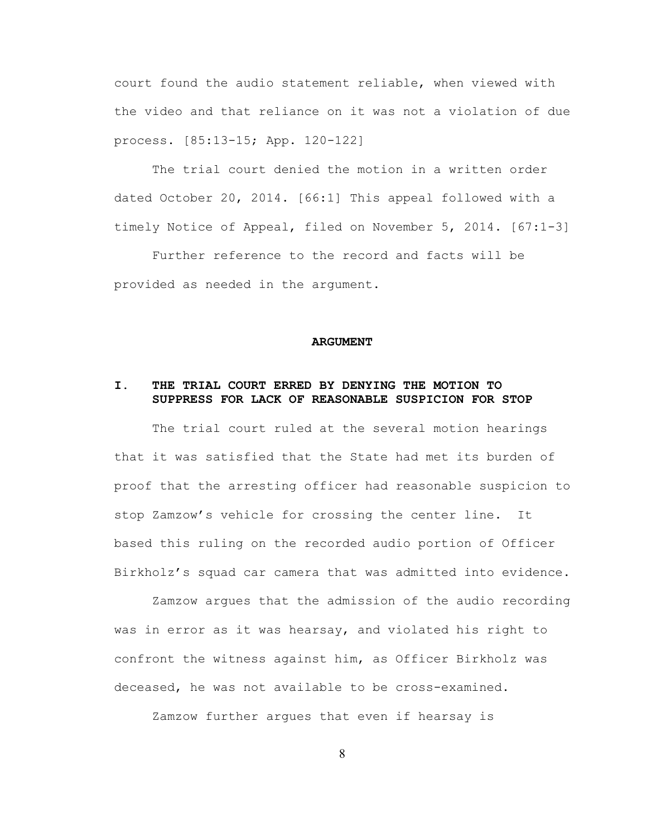court found the audio statement reliable, when viewed with the video and that reliance on it was not a violation of due process. [85:13-15; App. 120-122]

The trial court denied the motion in a written order dated October 20, 2014. [66:1] This appeal followed with a timely Notice of Appeal, filed on November 5, 2014. [67:1-3]

Further reference to the record and facts will be provided as needed in the argument.

#### **ARGUMENT**

## **I. THE TRIAL COURT ERRED BY DENYING THE MOTION TO SUPPRESS FOR LACK OF REASONABLE SUSPICION FOR STOP**

The trial court ruled at the several motion hearings that it was satisfied that the State had met its burden of proof that the arresting officer had reasonable suspicion to stop Zamzow's vehicle for crossing the center line. It based this ruling on the recorded audio portion of Officer Birkholz's squad car camera that was admitted into evidence.

Zamzow argues that the admission of the audio recording was in error as it was hearsay, and violated his right to confront the witness against him, as Officer Birkholz was deceased, he was not available to be cross-examined.

Zamzow further argues that even if hearsay is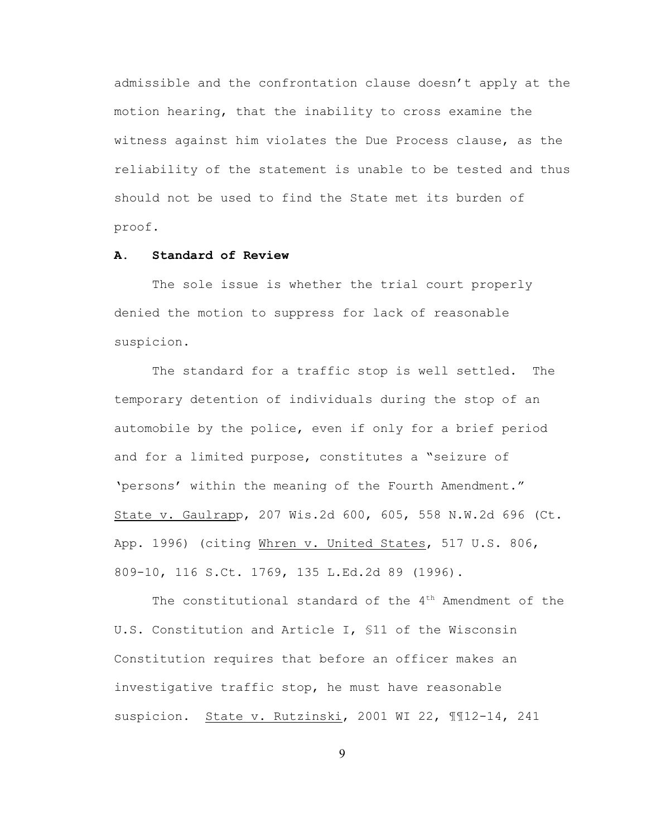admissible and the confrontation clause doesn't apply at the motion hearing, that the inability to cross examine the witness against him violates the Due Process clause, as the reliability of the statement is unable to be tested and thus should not be used to find the State met its burden of proof.

## **A. Standard of Review**

The sole issue is whether the trial court properly denied the motion to suppress for lack of reasonable suspicion.

The standard for a traffic stop is well settled. The temporary detention of individuals during the stop of an automobile by the police, even if only for a brief period and for a limited purpose, constitutes a "seizure of 'persons' within the meaning of the Fourth Amendment." State v. Gaulrapp, 207 Wis.2d 600, 605, 558 N.W.2d 696 (Ct. App. 1996) (citing Whren v. United States, 517 U.S. 806, 809-10, 116 S.Ct. 1769, 135 L.Ed.2d 89 (1996).

The constitutional standard of the  $4<sup>th</sup>$  Amendment of the U.S. Constitution and Article I, §11 of the Wisconsin Constitution requires that before an officer makes an investigative traffic stop, he must have reasonable suspicion. State v. Rutzinski, 2001 WI 22, ¶¶12-14, 241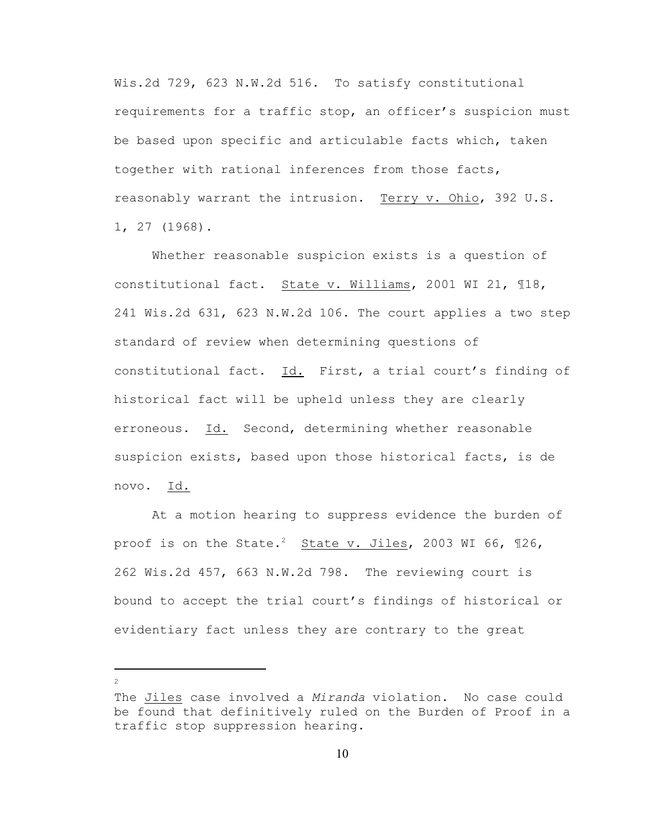Wis.2d 729, 623 N.W.2d 516. To satisfy constitutional requirements for a traffic stop, an officer's suspicion must be based upon specific and articulable facts which, taken together with rational inferences from those facts, reasonably warrant the intrusion. Terry v. Ohio, 392 U.S. 1, 27 (1968).

Whether reasonable suspicion exists is a question of constitutional fact. State v. Williams, 2001 WI 21, ¶18, 241 Wis.2d 631, 623 N.W.2d 106. The court applies a two step standard of review when determining questions of constitutional fact. Id. First, a trial court's finding of historical fact will be upheld unless they are clearly erroneous. Id. Second, determining whether reasonable suspicion exists, based upon those historical facts, is de novo. Id.

At a motion hearing to suppress evidence the burden of proof is on the State.<sup>2</sup> State v. Jiles, 2003 WI 66, 126, 262 Wis.2d 457, 663 N.W.2d 798. The reviewing court is bound to accept the trial court's findings of historical or evidentiary fact unless they are contrary to the great

The Jiles case involved a *Miranda* violation. No case could be found that definitively ruled on the Burden of Proof in a traffic stop suppression hearing.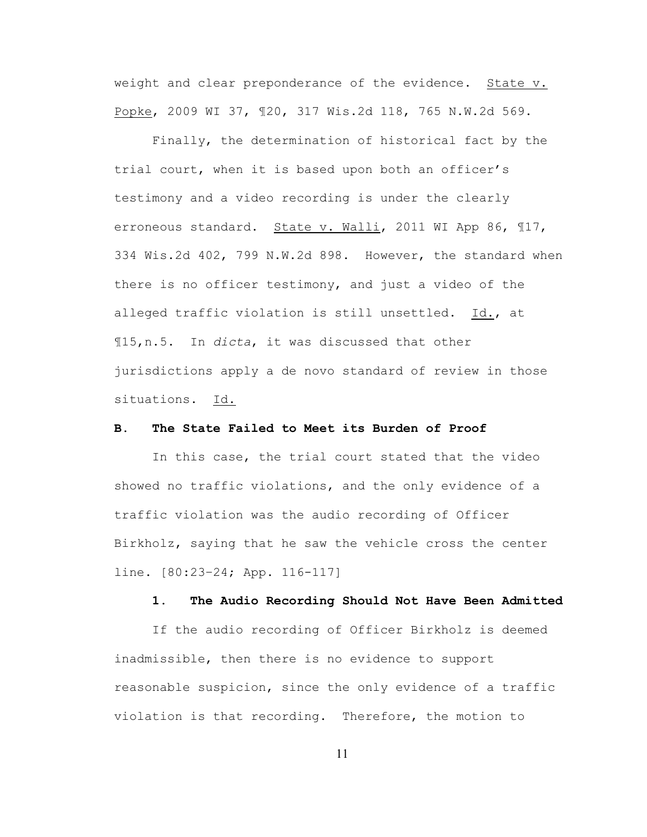weight and clear preponderance of the evidence. State v. Popke, 2009 WI 37, ¶20, 317 Wis.2d 118, 765 N.W.2d 569.

Finally, the determination of historical fact by the trial court, when it is based upon both an officer's testimony and a video recording is under the clearly erroneous standard. State v. Walli, 2011 WI App 86, ¶17, 334 Wis.2d 402, 799 N.W.2d 898. However, the standard when there is no officer testimony, and just a video of the alleged traffic violation is still unsettled. Id., at ¶15,n.5. In *dicta*, it was discussed that other jurisdictions apply a de novo standard of review in those situations. Id.

#### **B. The State Failed to Meet its Burden of Proof**

In this case, the trial court stated that the video showed no traffic violations, and the only evidence of a traffic violation was the audio recording of Officer Birkholz, saying that he saw the vehicle cross the center line. [80:23–24; App. 116-117]

#### **1. The Audio Recording Should Not Have Been Admitted**

If the audio recording of Officer Birkholz is deemed inadmissible, then there is no evidence to support reasonable suspicion, since the only evidence of a traffic violation is that recording. Therefore, the motion to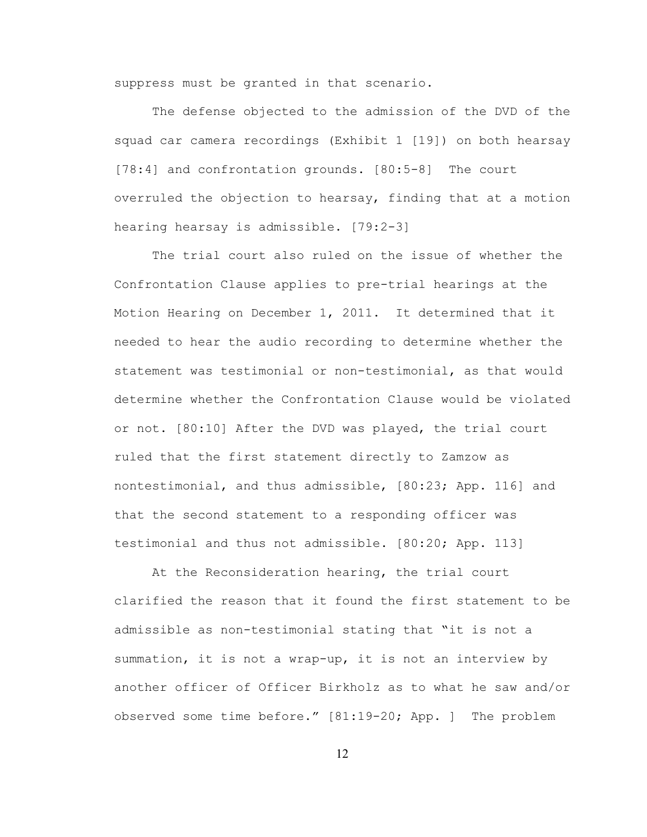suppress must be granted in that scenario.

The defense objected to the admission of the DVD of the squad car camera recordings (Exhibit 1 [19]) on both hearsay [78:4] and confrontation grounds. [80:5-8] The court overruled the objection to hearsay, finding that at a motion hearing hearsay is admissible. [79:2-3]

The trial court also ruled on the issue of whether the Confrontation Clause applies to pre-trial hearings at the Motion Hearing on December 1, 2011. It determined that it needed to hear the audio recording to determine whether the statement was testimonial or non-testimonial, as that would determine whether the Confrontation Clause would be violated or not. [80:10] After the DVD was played, the trial court ruled that the first statement directly to Zamzow as nontestimonial, and thus admissible, [80:23; App. 116] and that the second statement to a responding officer was testimonial and thus not admissible. [80:20; App. 113]

At the Reconsideration hearing, the trial court clarified the reason that it found the first statement to be admissible as non-testimonial stating that "it is not a summation, it is not a wrap-up, it is not an interview by another officer of Officer Birkholz as to what he saw and/or observed some time before." [81:19-20; App. ] The problem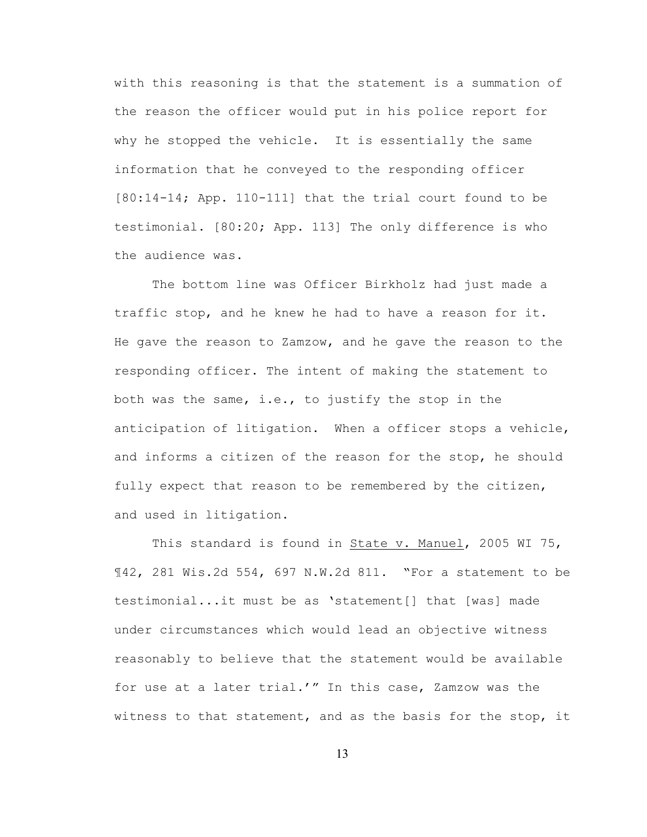with this reasoning is that the statement is a summation of the reason the officer would put in his police report for why he stopped the vehicle. It is essentially the same information that he conveyed to the responding officer [80:14-14; App. 110-111] that the trial court found to be testimonial. [80:20; App. 113] The only difference is who the audience was.

The bottom line was Officer Birkholz had just made a traffic stop, and he knew he had to have a reason for it. He gave the reason to Zamzow, and he gave the reason to the responding officer. The intent of making the statement to both was the same, i.e., to justify the stop in the anticipation of litigation. When a officer stops a vehicle, and informs a citizen of the reason for the stop, he should fully expect that reason to be remembered by the citizen, and used in litigation.

This standard is found in State v. Manuel, 2005 WI 75, ¶42, 281 Wis.2d 554, 697 N.W.2d 811. "For a statement to be testimonial...it must be as 'statement[] that [was] made under circumstances which would lead an objective witness reasonably to believe that the statement would be available for use at a later trial.'" In this case, Zamzow was the witness to that statement, and as the basis for the stop, it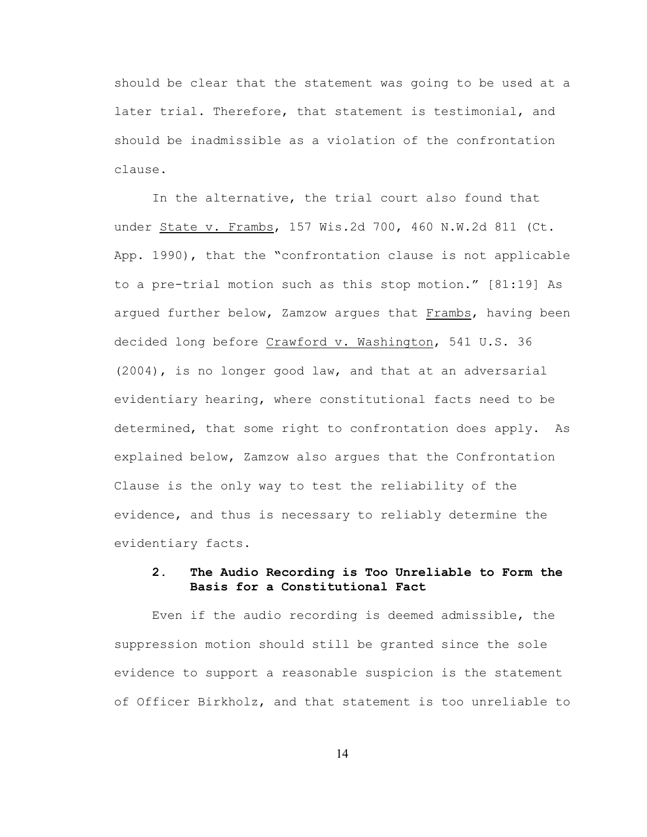should be clear that the statement was going to be used at a later trial. Therefore, that statement is testimonial, and should be inadmissible as a violation of the confrontation clause.

In the alternative, the trial court also found that under State v. Frambs, 157 Wis.2d 700, 460 N.W.2d 811 (Ct. App. 1990), that the "confrontation clause is not applicable to a pre-trial motion such as this stop motion." [81:19] As argued further below, Zamzow argues that Frambs, having been decided long before Crawford v. Washington, 541 U.S. 36 (2004), is no longer good law, and that at an adversarial evidentiary hearing, where constitutional facts need to be determined, that some right to confrontation does apply. As explained below, Zamzow also argues that the Confrontation Clause is the only way to test the reliability of the evidence, and thus is necessary to reliably determine the evidentiary facts.

## **2. The Audio Recording is Too Unreliable to Form the Basis for a Constitutional Fact**

Even if the audio recording is deemed admissible, the suppression motion should still be granted since the sole evidence to support a reasonable suspicion is the statement of Officer Birkholz, and that statement is too unreliable to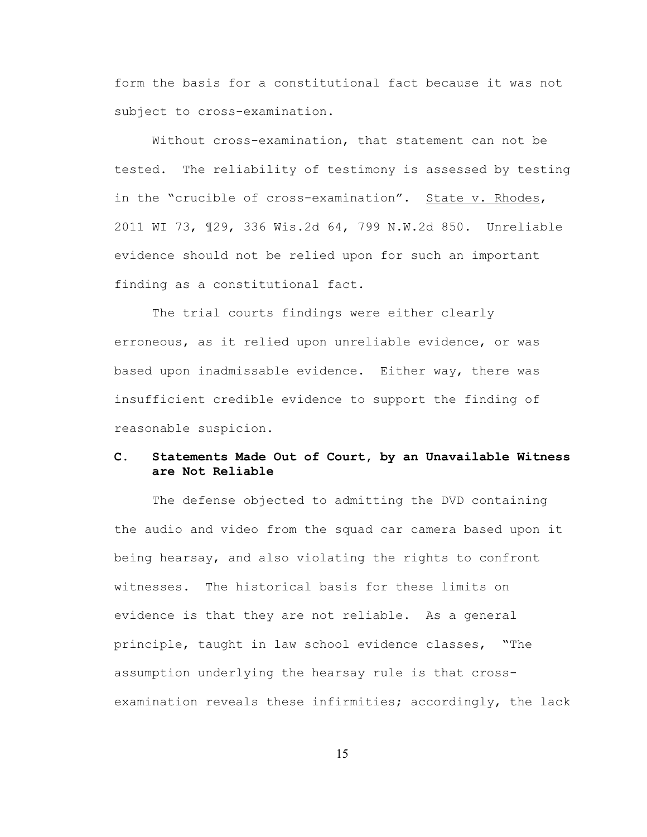form the basis for a constitutional fact because it was not subject to cross-examination.

Without cross-examination, that statement can not be tested. The reliability of testimony is assessed by testing in the "crucible of cross-examination". State v. Rhodes, 2011 WI 73, ¶29, 336 Wis.2d 64, 799 N.W.2d 850. Unreliable evidence should not be relied upon for such an important finding as a constitutional fact.

The trial courts findings were either clearly erroneous, as it relied upon unreliable evidence, or was based upon inadmissable evidence. Either way, there was insufficient credible evidence to support the finding of reasonable suspicion.

# **C. Statements Made Out of Court, by an Unavailable Witness are Not Reliable**

The defense objected to admitting the DVD containing the audio and video from the squad car camera based upon it being hearsay, and also violating the rights to confront witnesses. The historical basis for these limits on evidence is that they are not reliable. As a general principle, taught in law school evidence classes, "The assumption underlying the hearsay rule is that crossexamination reveals these infirmities; accordingly, the lack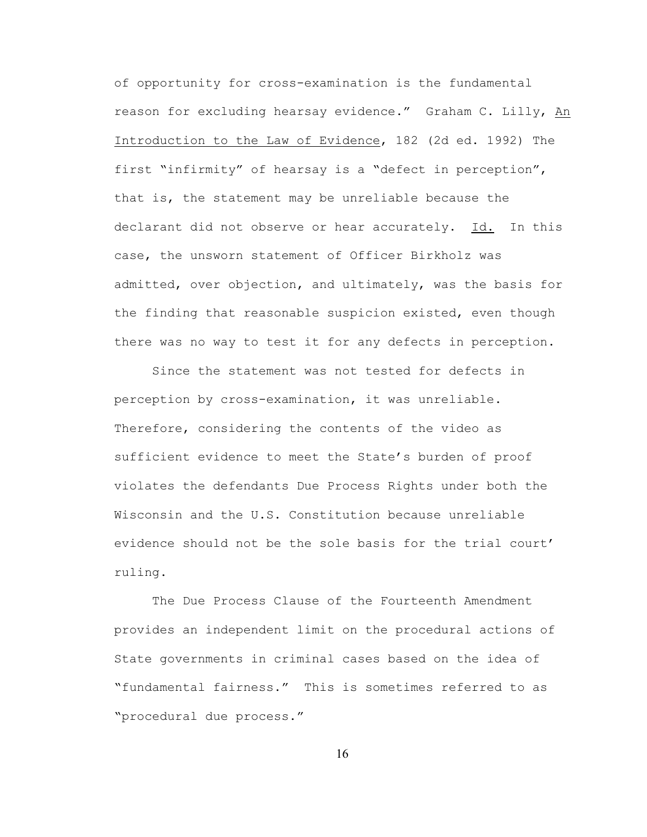of opportunity for cross-examination is the fundamental reason for excluding hearsay evidence." Graham C. Lilly, An Introduction to the Law of Evidence, 182 (2d ed. 1992) The first "infirmity" of hearsay is a "defect in perception", that is, the statement may be unreliable because the declarant did not observe or hear accurately. Id. In this case, the unsworn statement of Officer Birkholz was admitted, over objection, and ultimately, was the basis for the finding that reasonable suspicion existed, even though there was no way to test it for any defects in perception.

Since the statement was not tested for defects in perception by cross-examination, it was unreliable. Therefore, considering the contents of the video as sufficient evidence to meet the State's burden of proof violates the defendants Due Process Rights under both the Wisconsin and the U.S. Constitution because unreliable evidence should not be the sole basis for the trial court' ruling.

The Due Process Clause of the Fourteenth Amendment provides an independent limit on the procedural actions of State governments in criminal cases based on the idea of "fundamental fairness." This is sometimes referred to as "procedural due process."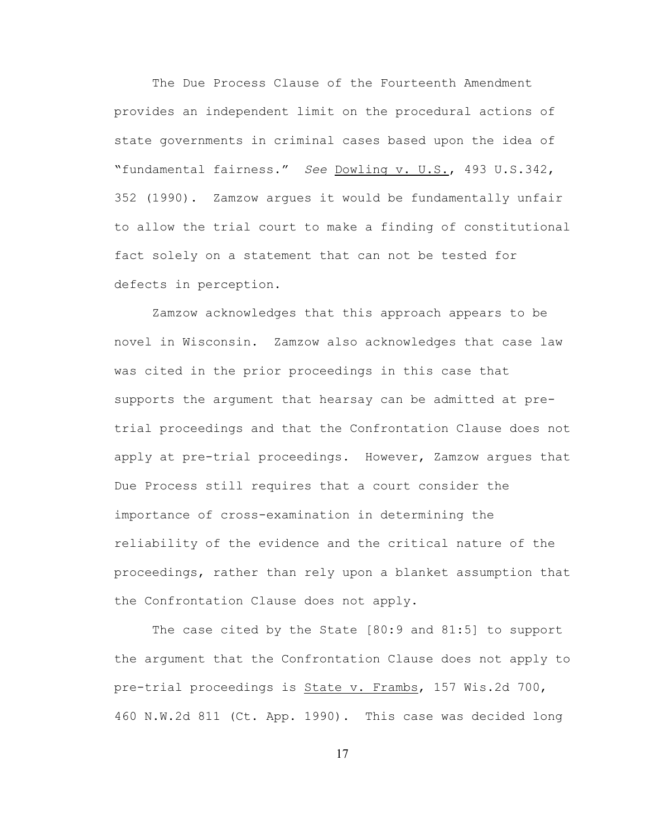The Due Process Clause of the Fourteenth Amendment provides an independent limit on the procedural actions of state governments in criminal cases based upon the idea of "fundamental fairness." *See* Dowling v. U.S., 493 U.S.342, 352 (1990). Zamzow argues it would be fundamentally unfair to allow the trial court to make a finding of constitutional fact solely on a statement that can not be tested for defects in perception.

Zamzow acknowledges that this approach appears to be novel in Wisconsin. Zamzow also acknowledges that case law was cited in the prior proceedings in this case that supports the argument that hearsay can be admitted at pretrial proceedings and that the Confrontation Clause does not apply at pre-trial proceedings. However, Zamzow argues that Due Process still requires that a court consider the importance of cross-examination in determining the reliability of the evidence and the critical nature of the proceedings, rather than rely upon a blanket assumption that the Confrontation Clause does not apply.

The case cited by the State [80:9 and 81:5] to support the argument that the Confrontation Clause does not apply to pre-trial proceedings is State v. Frambs, 157 Wis.2d 700, 460 N.W.2d 811 (Ct. App. 1990). This case was decided long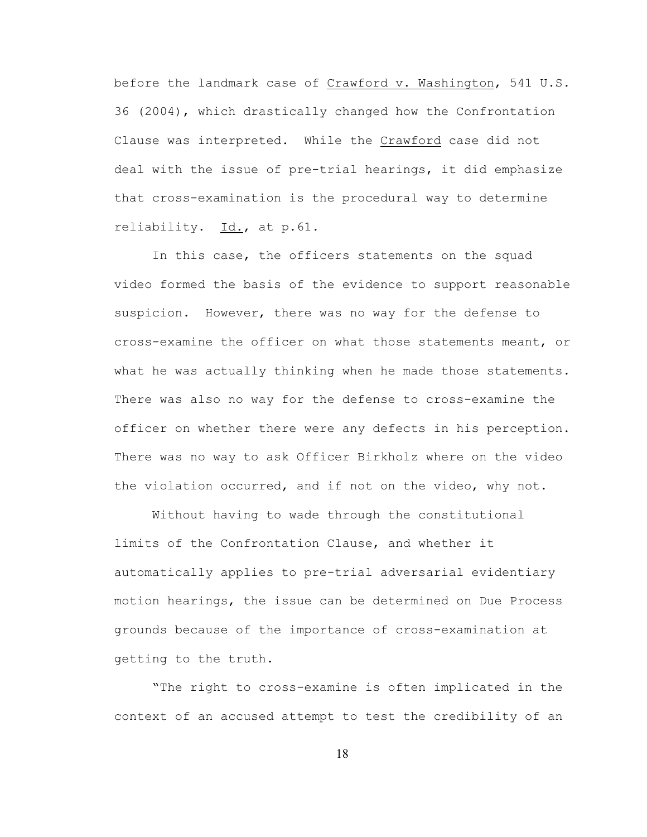before the landmark case of Crawford v. Washington, 541 U.S. 36 (2004), which drastically changed how the Confrontation Clause was interpreted. While the Crawford case did not deal with the issue of pre-trial hearings, it did emphasize that cross-examination is the procedural way to determine reliability. Id., at p.61.

In this case, the officers statements on the squad video formed the basis of the evidence to support reasonable suspicion. However, there was no way for the defense to cross-examine the officer on what those statements meant, or what he was actually thinking when he made those statements. There was also no way for the defense to cross-examine the officer on whether there were any defects in his perception. There was no way to ask Officer Birkholz where on the video the violation occurred, and if not on the video, why not.

Without having to wade through the constitutional limits of the Confrontation Clause, and whether it automatically applies to pre-trial adversarial evidentiary motion hearings, the issue can be determined on Due Process grounds because of the importance of cross-examination at getting to the truth.

"The right to cross-examine is often implicated in the context of an accused attempt to test the credibility of an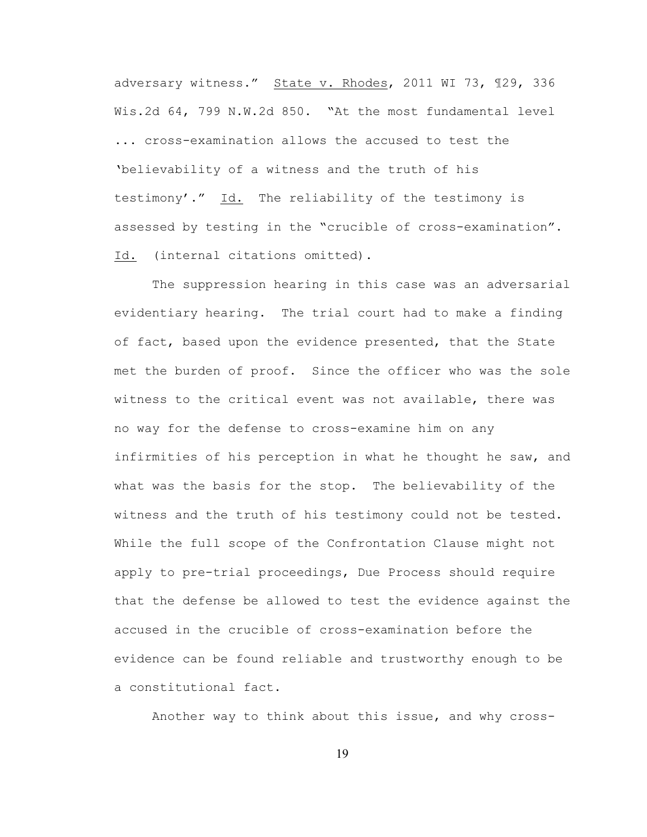adversary witness." State v. Rhodes, 2011 WI 73, ¶29, 336 Wis.2d 64, 799 N.W.2d 850. "At the most fundamental level ... cross-examination allows the accused to test the 'believability of a witness and the truth of his testimony'." Id. The reliability of the testimony is assessed by testing in the "crucible of cross-examination". Id. (internal citations omitted).

The suppression hearing in this case was an adversarial evidentiary hearing. The trial court had to make a finding of fact, based upon the evidence presented, that the State met the burden of proof. Since the officer who was the sole witness to the critical event was not available, there was no way for the defense to cross-examine him on any infirmities of his perception in what he thought he saw, and what was the basis for the stop. The believability of the witness and the truth of his testimony could not be tested. While the full scope of the Confrontation Clause might not apply to pre-trial proceedings, Due Process should require that the defense be allowed to test the evidence against the accused in the crucible of cross-examination before the evidence can be found reliable and trustworthy enough to be a constitutional fact.

Another way to think about this issue, and why cross-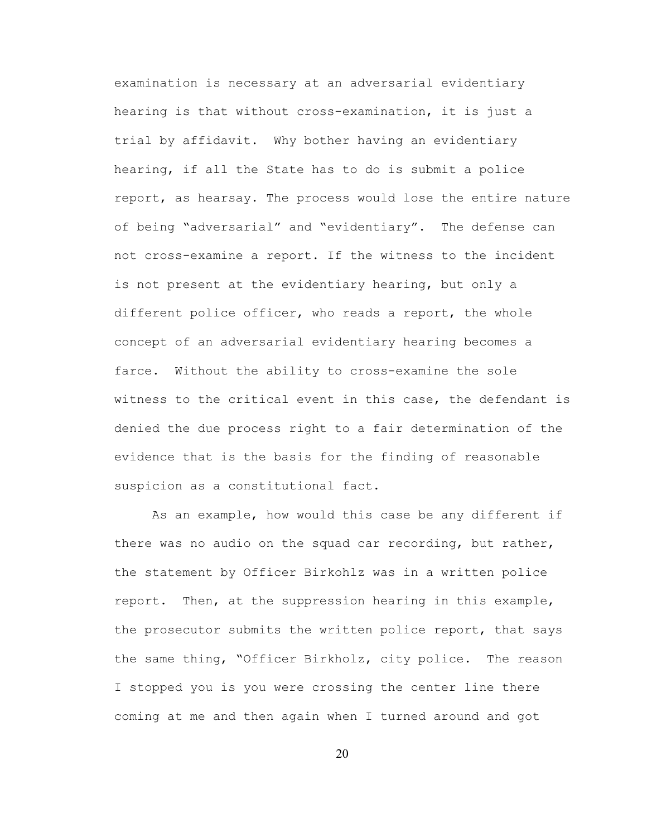examination is necessary at an adversarial evidentiary hearing is that without cross-examination, it is just a trial by affidavit. Why bother having an evidentiary hearing, if all the State has to do is submit a police report, as hearsay. The process would lose the entire nature of being "adversarial" and "evidentiary". The defense can not cross-examine a report. If the witness to the incident is not present at the evidentiary hearing, but only a different police officer, who reads a report, the whole concept of an adversarial evidentiary hearing becomes a farce. Without the ability to cross-examine the sole witness to the critical event in this case, the defendant is denied the due process right to a fair determination of the evidence that is the basis for the finding of reasonable suspicion as a constitutional fact.

As an example, how would this case be any different if there was no audio on the squad car recording, but rather, the statement by Officer Birkohlz was in a written police report. Then, at the suppression hearing in this example, the prosecutor submits the written police report, that says the same thing, "Officer Birkholz, city police. The reason I stopped you is you were crossing the center line there coming at me and then again when I turned around and got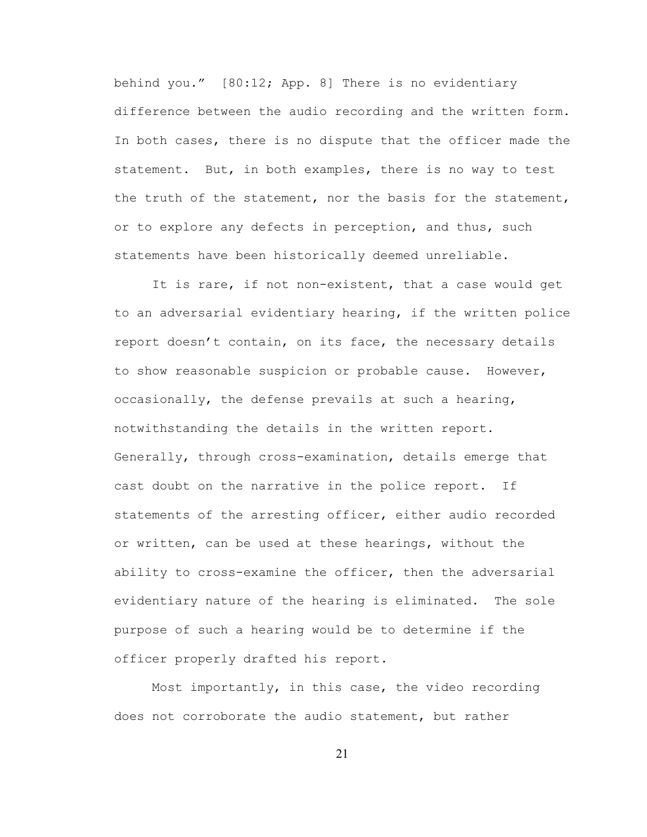behind you." [80:12; App. 8] There is no evidentiary difference between the audio recording and the written form. In both cases, there is no dispute that the officer made the statement. But, in both examples, there is no way to test the truth of the statement, nor the basis for the statement, or to explore any defects in perception, and thus, such statements have been historically deemed unreliable.

It is rare, if not non-existent, that a case would get to an adversarial evidentiary hearing, if the written police report doesn't contain, on its face, the necessary details to show reasonable suspicion or probable cause. However, occasionally, the defense prevails at such a hearing, notwithstanding the details in the written report. Generally, through cross-examination, details emerge that cast doubt on the narrative in the police report. If statements of the arresting officer, either audio recorded or written, can be used at these hearings, without the ability to cross-examine the officer, then the adversarial evidentiary nature of the hearing is eliminated. The sole purpose of such a hearing would be to determine if the officer properly drafted his report.

Most importantly, in this case, the video recording does not corroborate the audio statement, but rather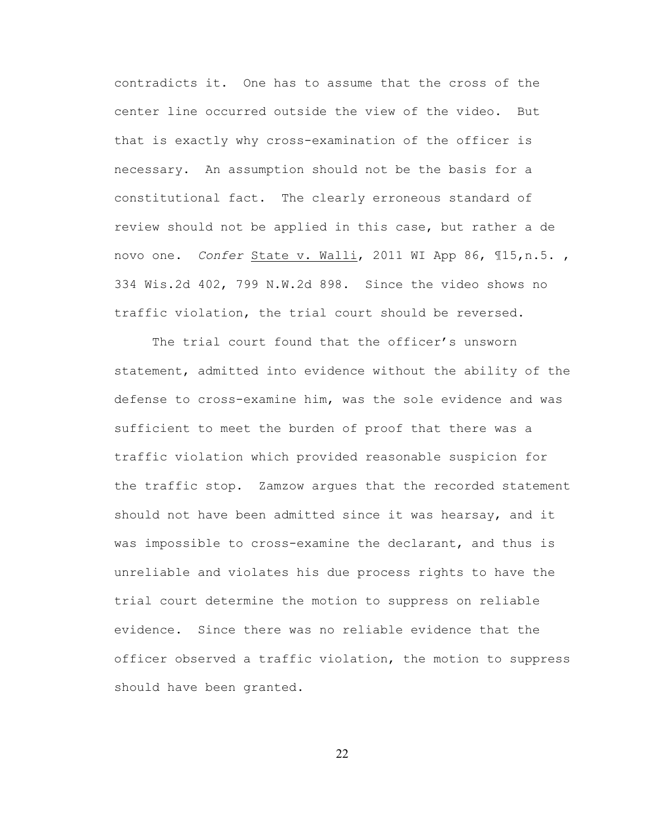contradicts it. One has to assume that the cross of the center line occurred outside the view of the video. But that is exactly why cross-examination of the officer is necessary. An assumption should not be the basis for a constitutional fact. The clearly erroneous standard of review should not be applied in this case, but rather a de novo one. *Confer* State v. Walli, 2011 WI App 86, ¶15,n.5. , 334 Wis.2d 402, 799 N.W.2d 898. Since the video shows no traffic violation, the trial court should be reversed.

The trial court found that the officer's unsworn statement, admitted into evidence without the ability of the defense to cross-examine him, was the sole evidence and was sufficient to meet the burden of proof that there was a traffic violation which provided reasonable suspicion for the traffic stop. Zamzow argues that the recorded statement should not have been admitted since it was hearsay, and it was impossible to cross-examine the declarant, and thus is unreliable and violates his due process rights to have the trial court determine the motion to suppress on reliable evidence. Since there was no reliable evidence that the officer observed a traffic violation, the motion to suppress should have been granted.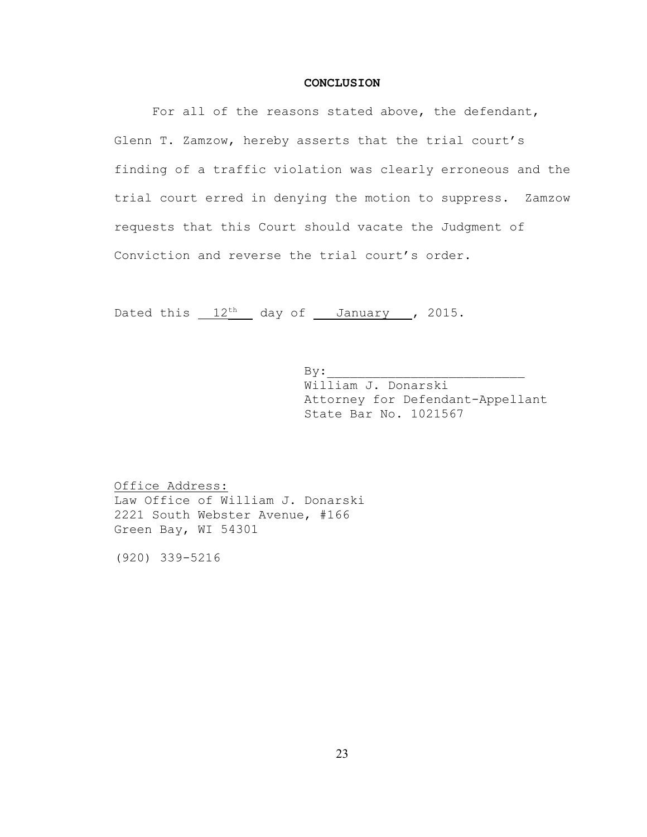#### **CONCLUSION**

For all of the reasons stated above, the defendant, Glenn T. Zamzow, hereby asserts that the trial court's finding of a traffic violation was clearly erroneous and the trial court erred in denying the motion to suppress. Zamzow requests that this Court should vacate the Judgment of Conviction and reverse the trial court's order.

Dated this  $12$ <sup>th</sup> day of January , 2015.

 $\mathbf{By:}$ William J. Donarski Attorney for Defendant-Appellant State Bar No. 1021567

Office Address: Law Office of William J. Donarski 2221 South Webster Avenue, #166 Green Bay, WI 54301

(920) 339-5216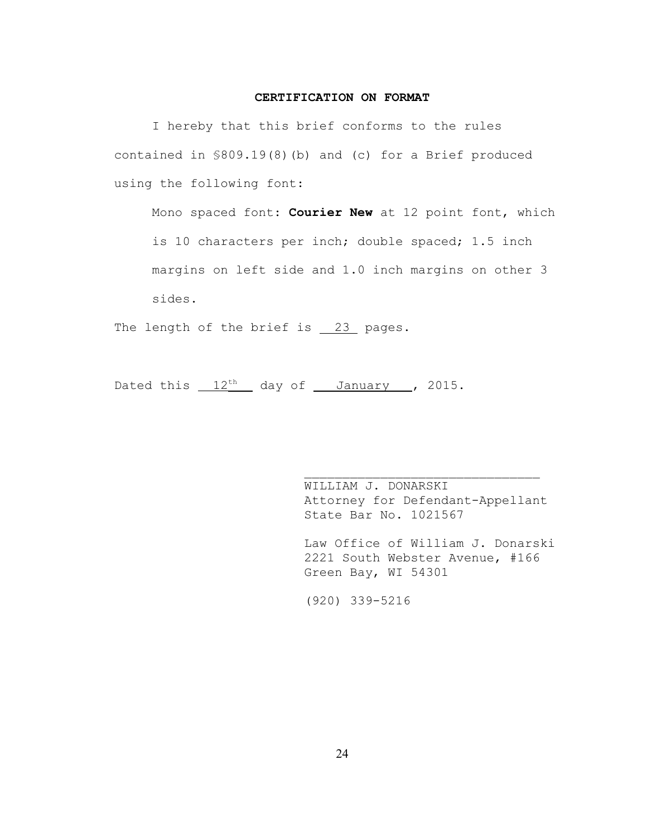#### **CERTIFICATION ON FORMAT**

I hereby that this brief conforms to the rules contained in §809.19(8)(b) and (c) for a Brief produced using the following font:

Mono spaced font: **Courier New** at 12 point font, which is 10 characters per inch; double spaced; 1.5 inch margins on left side and 1.0 inch margins on other 3 sides.

The length of the brief is 23 pages.

Dated this  $12<sup>th</sup>$  day of January , 2015.

WILLIAM J. DONARSKI Attorney for Defendant-Appellant State Bar No. 1021567

Law Office of William J. Donarski 2221 South Webster Avenue, #166 Green Bay, WI 54301

(920) 339-5216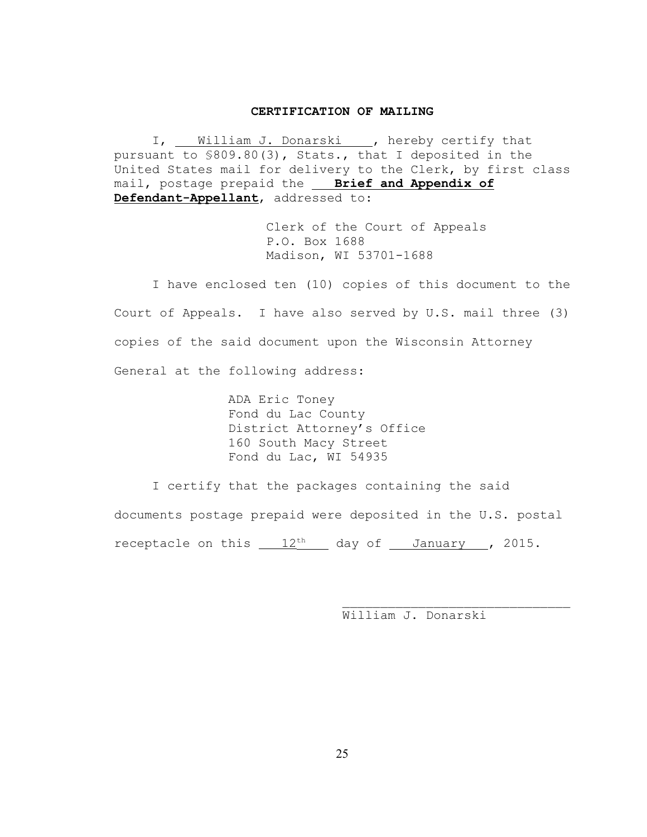#### **CERTIFICATION OF MAILING**

I, William J. Donarski , hereby certify that pursuant to §809.80(3), Stats., that I deposited in the United States mail for delivery to the Clerk, by first class mail, postage prepaid the **Brief and Appendix of Defendant-Appellant**, addressed to:

> Clerk of the Court of Appeals P.O. Box 1688 Madison, WI 53701-1688

I have enclosed ten (10) copies of this document to the Court of Appeals. I have also served by U.S. mail three (3) copies of the said document upon the Wisconsin Attorney General at the following address:

> ADA Eric Toney Fond du Lac County District Attorney's Office 160 South Macy Street Fond du Lac, WI 54935

I certify that the packages containing the said documents postage prepaid were deposited in the U.S. postal receptacle on this  $12<sup>th</sup>$  day of January , 2015.

William J. Donarski

 $\mathcal{L}_\text{max}$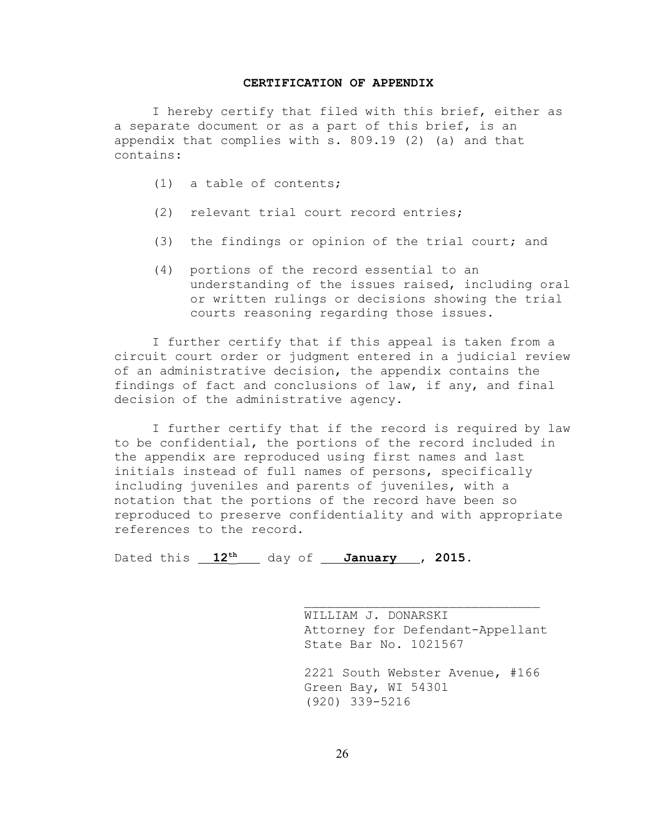#### **CERTIFICATION OF APPENDIX**

I hereby certify that filed with this brief, either as a separate document or as a part of this brief, is an appendix that complies with s. 809.19 (2) (a) and that contains:

- (1) a table of contents;
- (2) relevant trial court record entries;
- (3) the findings or opinion of the trial court; and
- (4) portions of the record essential to an understanding of the issues raised, including oral or written rulings or decisions showing the trial courts reasoning regarding those issues.

I further certify that if this appeal is taken from a circuit court order or judgment entered in a judicial review of an administrative decision, the appendix contains the findings of fact and conclusions of law, if any, and final decision of the administrative agency.

I further certify that if the record is required by law to be confidential, the portions of the record included in the appendix are reproduced using first names and last initials instead of full names of persons, specifically including juveniles and parents of juveniles, with a notation that the portions of the record have been so reproduced to preserve confidentiality and with appropriate references to the record.

Dated this  $12^{th}$  day of **January** , 2015.

WILLIAM J. DONARSKI Attorney for Defendant-Appellant State Bar No. 1021567

 $\mathcal{L}_\text{max}$ 

2221 South Webster Avenue, #166 Green Bay, WI 54301 (920) 339-5216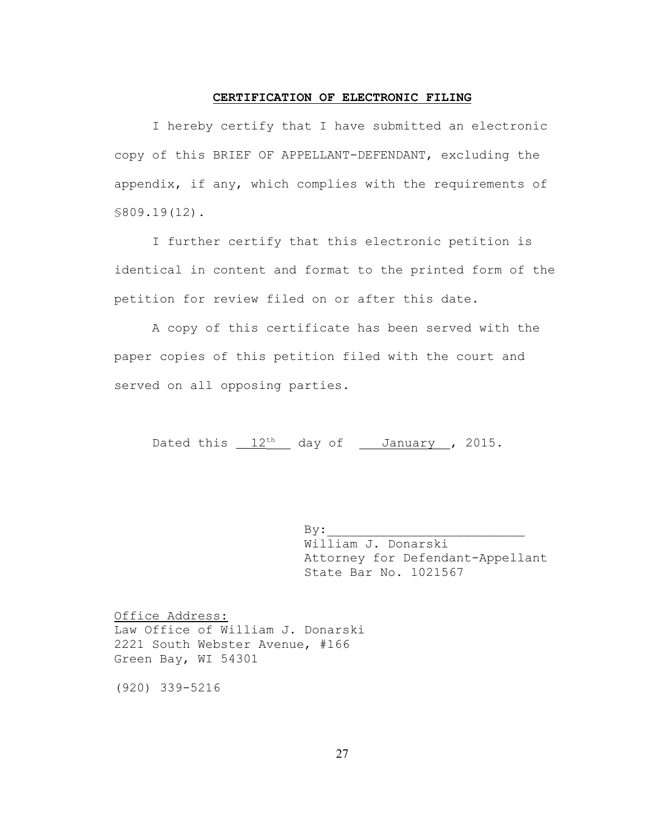#### **CERTIFICATION OF ELECTRONIC FILING**

I hereby certify that I have submitted an electronic copy of this BRIEF OF APPELLANT-DEFENDANT, excluding the appendix, if any, which complies with the requirements of §809.19(12).

I further certify that this electronic petition is identical in content and format to the printed form of the petition for review filed on or after this date.

A copy of this certificate has been served with the paper copies of this petition filed with the court and served on all opposing parties.

Dated this  $12<sup>th</sup>$  day of January , 2015.

 $By:$ William J. Donarski Attorney for Defendant-Appellant State Bar No. 1021567

Office Address: Law Office of William J. Donarski 2221 South Webster Avenue, #166 Green Bay, WI 54301

(920) 339-5216